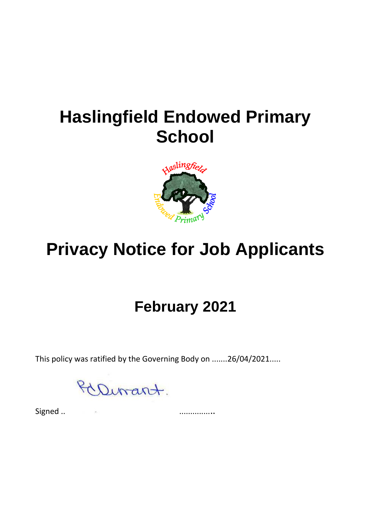## **Haslingfield Endowed Primary School**



# **Privacy Notice for Job Applicants**

### **February 2021**

This policy was ratified by the Governing Body on .......26/04/2021.....

Dirant.

Signed .. ..............*..*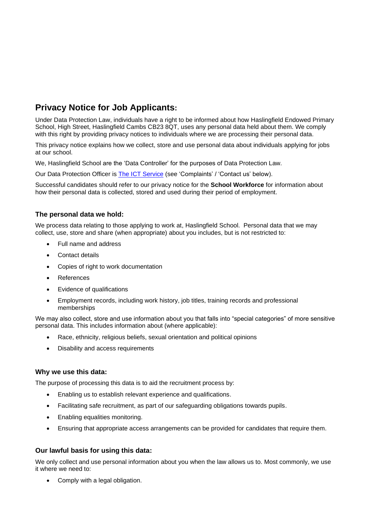### **Privacy Notice for Job Applicants:**

Under Data Protection Law, individuals have a right to be informed about how Haslingfield Endowed Primary School, High Street, Haslingfield Cambs CB23 8QT, uses any personal data held about them. We comply with this right by providing privacy notices to individuals where we are processing their personal data.

This privacy notice explains how we collect, store and use personal data about individuals applying for jobs at our school.

We, Haslingfield School are the 'Data Controller' for the purposes of Data Protection Law.

Our Data Protection Officer is [The ICT Service](https://theictservice.org.uk/service/gdpr-dpo-service/) (see 'Complaints' / 'Contact us' below).

Successful candidates should refer to our privacy notice for the **School Workforce** for information about how their personal data is collected, stored and used during their period of employment.

#### **The personal data we hold:**

We process data relating to those applying to work at, Haslingfield School. Personal data that we may collect, use, store and share (when appropriate) about you includes, but is not restricted to:

- Full name and address
- Contact details
- Copies of right to work documentation
- References
- Evidence of qualifications
- Employment records, including work history, job titles, training records and professional memberships

We may also collect, store and use information about you that falls into "special categories" of more sensitive personal data. This includes information about (where applicable):

- Race, ethnicity, religious beliefs, sexual orientation and political opinions
- Disability and access requirements

#### **Why we use this data:**

The purpose of processing this data is to aid the recruitment process by:

- Enabling us to establish relevant experience and qualifications.
- Facilitating safe recruitment, as part of our safeguarding obligations towards pupils.
- Enabling equalities monitoring.
- Ensuring that appropriate access arrangements can be provided for candidates that require them.

#### **Our lawful basis for using this data:**

We only collect and use personal information about you when the law allows us to. Most commonly, we use it where we need to:

• Comply with a legal obligation.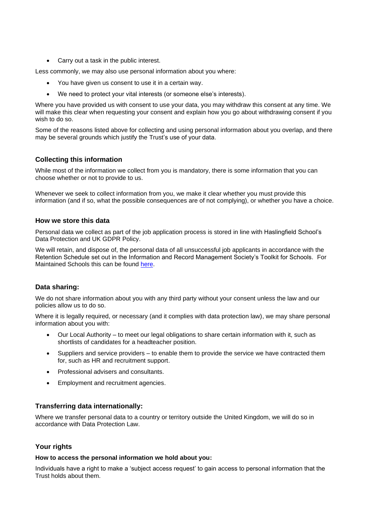• Carry out a task in the public interest.

Less commonly, we may also use personal information about you where:

- You have given us consent to use it in a certain way.
- We need to protect your vital interests (or someone else's interests).

Where you have provided us with consent to use your data, you may withdraw this consent at any time. We will make this clear when requesting your consent and explain how you go about withdrawing consent if you wish to do so.

Some of the reasons listed above for collecting and using personal information about you overlap, and there may be several grounds which justify the Trust's use of your data.

#### **Collecting this information**

While most of the information we collect from you is mandatory, there is some information that you can choose whether or not to provide to us.

Whenever we seek to collect information from you, we make it clear whether you must provide this information (and if so, what the possible consequences are of not complying), or whether you have a choice.

#### **How we store this data**

Personal data we collect as part of the job application process is stored in line with Haslingfield School's Data Protection and UK GDPR Policy.

We will retain, and dispose of, the personal data of all unsuccessful job applicants in accordance with the Retention Schedule set out in the Information and Record Management Society's Toolkit for Schools. For Maintained Schools this can be found [here.](http://irms.org.uk/?page=schoolstoolkit&terms=%22toolkit+and+schools%22)

#### **Data sharing:**

We do not share information about you with any third party without your consent unless the law and our policies allow us to do so.

Where it is legally required, or necessary (and it complies with data protection law), we may share personal information about you with:

- Our Local Authority to meet our legal obligations to share certain information with it, such as shortlists of candidates for a headteacher position.
- Suppliers and service providers to enable them to provide the service we have contracted them for, such as HR and recruitment support.
- Professional advisers and consultants.
- Employment and recruitment agencies.

#### **Transferring data internationally:**

Where we transfer personal data to a country or territory outside the United Kingdom, we will do so in accordance with Data Protection Law.

#### **Your rights**

#### **How to access the personal information we hold about you:**

Individuals have a right to make a 'subject access request' to gain access to personal information that the Trust holds about them.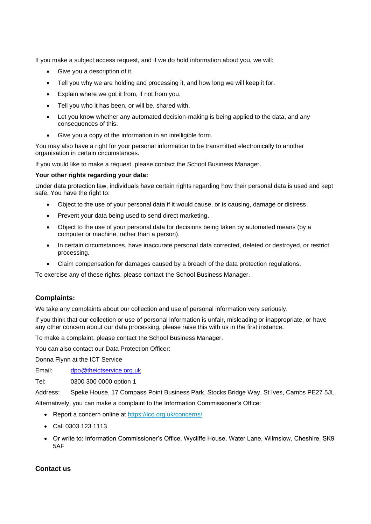If you make a subject access request, and if we do hold information about you, we will:

- Give you a description of it.
- Tell you why we are holding and processing it, and how long we will keep it for.
- Explain where we got it from, if not from you.
- Tell you who it has been, or will be, shared with.
- Let you know whether any automated decision-making is being applied to the data, and any consequences of this.
- Give you a copy of the information in an intelligible form.

You may also have a right for your personal information to be transmitted electronically to another organisation in certain circumstances.

If you would like to make a request, please contact the School Business Manager.

#### **Your other rights regarding your data:**

Under data protection law, individuals have certain rights regarding how their personal data is used and kept safe. You have the right to:

- Object to the use of your personal data if it would cause, or is causing, damage or distress.
- Prevent your data being used to send direct marketing.
- Object to the use of your personal data for decisions being taken by automated means (by a computer or machine, rather than a person).
- In certain circumstances, have inaccurate personal data corrected, deleted or destroyed, or restrict processing.
- Claim compensation for damages caused by a breach of the data protection regulations.

To exercise any of these rights, please contact the School Business Manager.

#### **Complaints:**

We take any complaints about our collection and use of personal information very seriously.

If you think that our collection or use of personal information is unfair, misleading or inappropriate, or have any other concern about our data processing, please raise this with us in the first instance.

To make a complaint, please contact the School Business Manager.

You can also contact our Data Protection Officer:

Donna Flynn at the ICT Service

Email: [dpo@theictservice.org.uk](mailto:dpo@theictservice.org.uk)

Tel: 0300 300 0000 option 1

Address: Speke House, 17 Compass Point Business Park, Stocks Bridge Way, St Ives, Cambs PE27 5JL Alternatively, you can make a complaint to the Information Commissioner's Office:

- Report a concern online at<https://ico.org.uk/concerns/>
- Call 0303 123 1113
- Or write to: Information Commissioner's Office, Wycliffe House, Water Lane, Wilmslow, Cheshire, SK9 5AF

#### **Contact us**